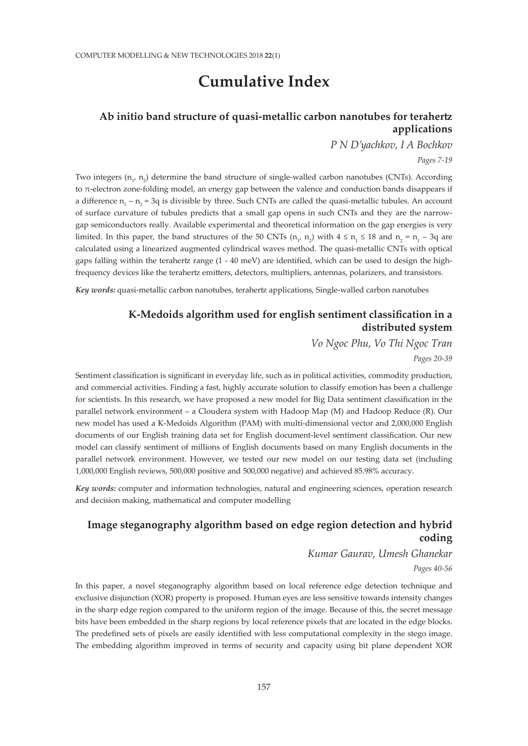# **Cumulative Index**

## **Ab initio band structure of quasi-metallic carbon nanotubes for terahertz applications**

*P N D'yachkov, I A Bochkov Pages 7-19*

Two integers  $(n_1, n_2)$  determine the band structure of single-walled carbon nanotubes (CNTs). According to  $\pi$ -electron zone-folding model, an energy gap between the valence and conduction bands disappears if a difference  $n_1 - n_2 = 3q$  is divisible by three. Such CNTs are called the quasi-metallic tubules. An account of surface curvature of tubules predicts that a small gap opens in such CNTs and they are the narrowgap semiconductors really. Available experimental and theoretical information on the gap energies is very limited. In this paper, the band structures of the 50 CNTs  $(n_1, n_2)$  with  $4 \le n_1 \le 18$  and  $n_2 = n_1 - 3q$  are calculated using a linearized augmented cylindrical waves method. The quasi-metallic CNTs with optical gaps falling within the terahertz range (1 - 40 meV) are identified, which can be used to design the highfrequency devices like the terahertz emitters, detectors, multipliers, antennas, polarizers, and transistors.

*Key words:* quasi-metallic carbon nanotubes, terahertz applications, Single-walled carbon nanotubes

### **K-Medoids algorithm used for english sentiment classification in a distributed system**

*Vo Ngoc Phu, Vo Thi Ngoc Tran*

*Pages 20-39*

Sentiment classification is significant in everyday life, such as in political activities, commodity production, and commercial activities. Finding a fast, highly accurate solution to classify emotion has been a challenge for scientists. In this research, we have proposed a new model for Big Data sentiment classification in the parallel network environment – a Cloudera system with Hadoop Map (M) and Hadoop Reduce (R). Our new model has used a K-Medoids Algorithm (PAM) with multi-dimensional vector and 2,000,000 English documents of our English training data set for English document-level sentiment classification. Our new model can classify sentiment of millions of English documents based on many English documents in the parallel network environment. However, we tested our new model on our testing data set (including 1,000,000 English reviews, 500,000 positive and 500,000 negative) and achieved 85.98% accuracy.

*Key words:* computer and information technologies, natural and engineering sciences, operation research and decision making, mathematical and computer modelling

## **Image steganography algorithm based on edge region detection and hybrid coding**

*Kumar Gaurav, Umesh Ghanekar*

*Pages 40-56*

In this paper, a novel steganography algorithm based on local reference edge detection technique and exclusive disjunction (XOR) property is proposed. Human eyes are less sensitive towards intensity changes in the sharp edge region compared to the uniform region of the image. Because of this, the secret message bits have been embedded in the sharp regions by local reference pixels that are located in the edge blocks. The predefined sets of pixels are easily identified with less computational complexity in the stego image. The embedding algorithm improved in terms of security and capacity using bit plane dependent XOR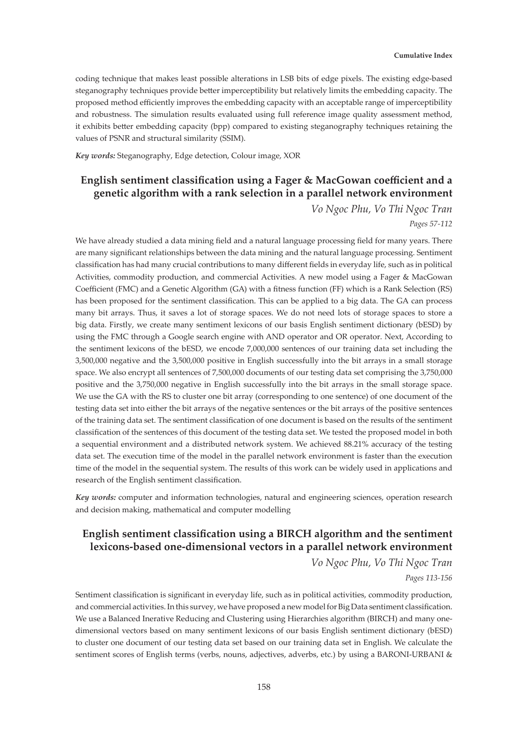coding technique that makes least possible alterations in LSB bits of edge pixels. The existing edge-based steganography techniques provide better imperceptibility but relatively limits the embedding capacity. The proposed method efficiently improves the embedding capacity with an acceptable range of imperceptibility and robustness. The simulation results evaluated using full reference image quality assessment method, it exhibits better embedding capacity (bpp) compared to existing steganography techniques retaining the values of PSNR and structural similarity (SSIM).

*Key words:* Steganography, Edge detection, Colour image, XOR

# **English sentiment classification using a Fager & MacGowan coefficient and a genetic algorithm with a rank selection in a parallel network environment**

*Vo Ngoc Phu, Vo Thi Ngoc Tran Pages 57-112*

We have already studied a data mining field and a natural language processing field for many years. There are many significant relationships between the data mining and the natural language processing. Sentiment classification has had many crucial contributions to many different fields in everyday life, such as in political Activities, commodity production, and commercial Activities. A new model using a Fager & MacGowan Coefficient (FMC) and a Genetic Algorithm (GA) with a fitness function (FF) which is a Rank Selection (RS) has been proposed for the sentiment classification. This can be applied to a big data. The GA can process many bit arrays. Thus, it saves a lot of storage spaces. We do not need lots of storage spaces to store a big data. Firstly, we create many sentiment lexicons of our basis English sentiment dictionary (bESD) by using the FMC through a Google search engine with AND operator and OR operator. Next, According to the sentiment lexicons of the bESD, we encode 7,000,000 sentences of our training data set including the 3,500,000 negative and the 3,500,000 positive in English successfully into the bit arrays in a small storage space. We also encrypt all sentences of 7,500,000 documents of our testing data set comprising the 3,750,000 positive and the 3,750,000 negative in English successfully into the bit arrays in the small storage space. We use the GA with the RS to cluster one bit array (corresponding to one sentence) of one document of the testing data set into either the bit arrays of the negative sentences or the bit arrays of the positive sentences of the training data set. The sentiment classification of one document is based on the results of the sentiment classification of the sentences of this document of the testing data set. We tested the proposed model in both a sequential environment and a distributed network system. We achieved 88.21% accuracy of the testing data set. The execution time of the model in the parallel network environment is faster than the execution time of the model in the sequential system. The results of this work can be widely used in applications and research of the English sentiment classification.

*Key words:* computer and information technologies, natural and engineering sciences, operation research and decision making, mathematical and computer modelling

# **English sentiment classification using a BIRCH algorithm and the sentiment lexicons-based one-dimensional vectors in a parallel network environment**

*Vo Ngoc Phu, Vo Thi Ngoc Tran*

#### *Pages 113-156*

Sentiment classification is significant in everyday life, such as in political activities, commodity production, and commercial activities. In this survey, we have proposed a new model for Big Data sentiment classification. We use a Balanced Inerative Reducing and Clustering using Hierarchies algorithm (BIRCH) and many onedimensional vectors based on many sentiment lexicons of our basis English sentiment dictionary (bESD) to cluster one document of our testing data set based on our training data set in English. We calculate the sentiment scores of English terms (verbs, nouns, adjectives, adverbs, etc.) by using a BARONI-URBANI &